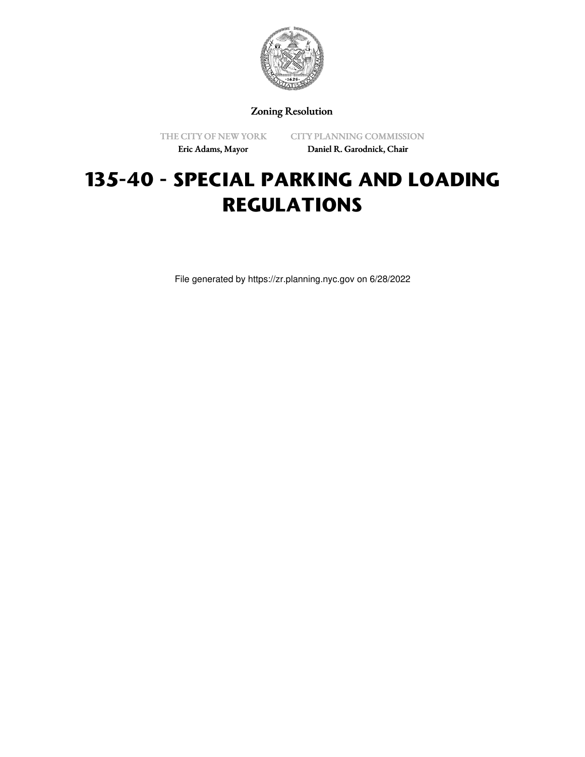

Zoning Resolution

THE CITY OF NEW YORK Eric Adams, Mayor

CITY PLANNING COMMISSION Daniel R. Garodnick, Chair

# **135-40 - SPECIAL PARKING AND LOADING REGULATIONS**

File generated by https://zr.planning.nyc.gov on 6/28/2022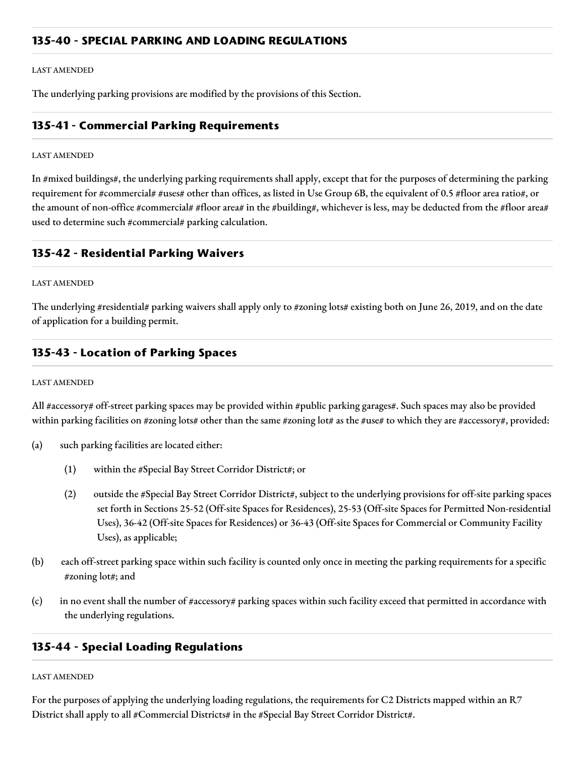## **135-40 - SPECIAL PARKING AND LOADING REGULATIONS**

#### LAST AMENDED

The underlying parking provisions are modified by the provisions of this Section.

## **135-41 - Commercial Parking Requirements**

#### LAST AMENDED

In #mixed buildings#, the underlying parking requirements shall apply, except that for the purposes of determining the parking requirement for #commercial# #uses# other than offices, as listed in Use Group 6B, the equivalent of 0.5 #floor area ratio#, or the amount of non-office #commercial# #floor area# in the #building#, whichever is less, may be deducted from the #floor area# used to determine such #commercial# parking calculation.

## **135-42 - Residential Parking Waivers**

#### LAST AMENDED

The underlying #residential# parking waivers shall apply only to #zoning lots# existing both on June 26, 2019, and on the date of application for a building permit.

## **135-43 - Location of Parking Spaces**

#### LAST AMENDED

All #accessory# off-street parking spaces may be provided within #public parking garages#. Such spaces may also be provided within parking facilities on #zoning lots# other than the same #zoning lot# as the #use# to which they are #accessory#, provided:

- (a) such parking facilities are located either:
	- (1) within the #Special Bay Street Corridor District#; or
	- (2) outside the #Special Bay Street Corridor District#, subject to the underlying provisions for off-site parking spaces set forth in Sections 25-52 (Off-site Spaces for Residences), 25-53 (Off-site Spaces for Permitted Non-residential Uses), 36-42 (Off-site Spaces for Residences) or 36-43 (Off-site Spaces for Commercial or Community Facility Uses), as applicable;
- (b) each off-street parking space within such facility is counted only once in meeting the parking requirements for a specific #zoning lot#; and
- (c) in no event shall the number of #accessory# parking spaces within such facility exceed that permitted in accordance with the underlying regulations.

## **135-44 - Special Loading Regulations**

#### LAST AMENDED

For the purposes of applying the underlying loading regulations, the requirements for C2 Districts mapped within an R7 District shall apply to all #Commercial Districts# in the #Special Bay Street Corridor District#.